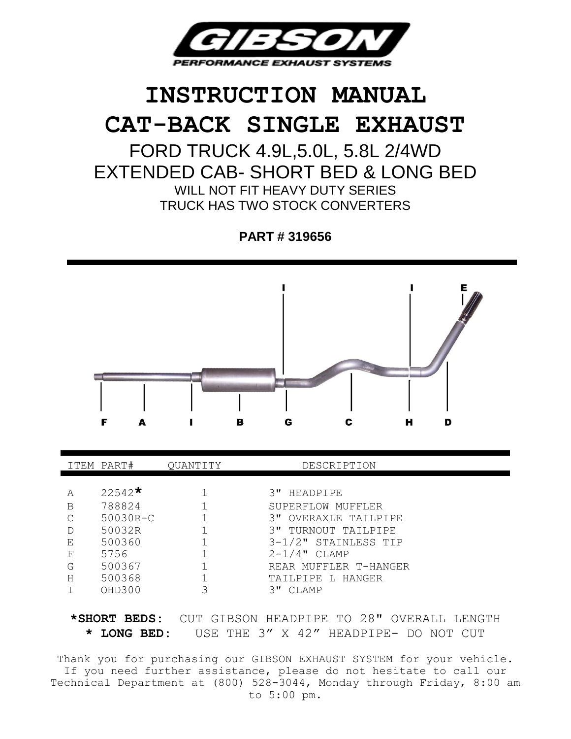

# **INSTRUCTION MANUAL CAT-BACK SINGLE EXHAUST**

FORD TRUCK 4.9L,5.0L, 5.8L 2/4WD EXTENDED CAB- SHORT BED & LONG BED WILL NOT FIT HEAVY DUTY SERIES TRUCK HAS TWO STOCK CONVERTERS

**PART # 319656**



|   | ITEM PART#         | OUANTITY | DESCRIPTION           |
|---|--------------------|----------|-----------------------|
|   |                    |          |                       |
| Α | 22542 <sup>*</sup> |          | 3" HEADPIPE           |
| B | 788824             |          | SUPERFLOW MUFFLER     |
| C | 50030R-C           |          | 3" OVERAXLE TAILPIPE  |
|   | 50032R             |          | 3" TURNOUT TAILPIPE   |
| Е | 500360             |          | 3-1/2" STAINLESS TIP  |
| F | 5756               |          | $2-1/4$ " CLAMP       |
| G | 500367             |          | REAR MUFFLER T-HANGER |
| Η | 500368             |          | TAILPIPE L HANGER     |
|   | OHD300             | 3        | CT.AMP<br>3 u         |

**\*SHORT BEDS:** CUT GIBSON HEADPIPE TO 28" OVERALL LENGTH **\* LONG BED:** USE THE 3" X 42" HEADPIPE- DO NOT CUT

Thank you for purchasing our GIBSON EXHAUST SYSTEM for your vehicle. If you need further assistance, please do not hesitate to call our Technical Department at (800) 528-3044, Monday through Friday, 8:00 am to 5:00 pm.